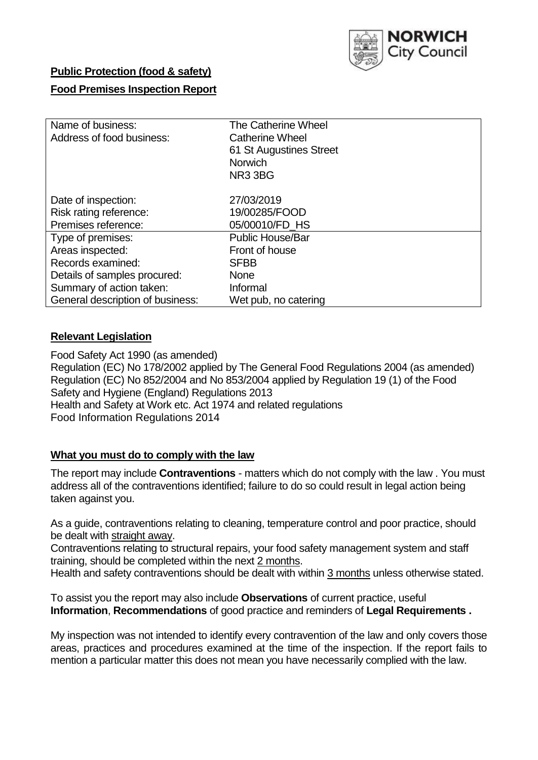

# **Public Protection (food & safety)**

## **Food Premises Inspection Report**

| Name of business:                | The Catherine Wheel     |  |  |  |  |  |
|----------------------------------|-------------------------|--|--|--|--|--|
| Address of food business:        | <b>Catherine Wheel</b>  |  |  |  |  |  |
|                                  | 61 St Augustines Street |  |  |  |  |  |
|                                  | <b>Norwich</b>          |  |  |  |  |  |
|                                  | NR3 3BG                 |  |  |  |  |  |
| Date of inspection:              | 27/03/2019              |  |  |  |  |  |
| Risk rating reference:           | 19/00285/FOOD           |  |  |  |  |  |
| Premises reference:              | 05/00010/FD HS          |  |  |  |  |  |
| Type of premises:                | <b>Public House/Bar</b> |  |  |  |  |  |
| Areas inspected:                 | Front of house          |  |  |  |  |  |
| Records examined:                | <b>SFBB</b>             |  |  |  |  |  |
| Details of samples procured:     | <b>None</b>             |  |  |  |  |  |
| Summary of action taken:         | Informal                |  |  |  |  |  |
| General description of business: | Wet pub, no catering    |  |  |  |  |  |

## **Relevant Legislation**

Food Safety Act 1990 (as amended) Regulation (EC) No 178/2002 applied by The General Food Regulations 2004 (as amended) Regulation (EC) No 852/2004 and No 853/2004 applied by Regulation 19 (1) of the Food Safety and Hygiene (England) Regulations 2013 Health and Safety at Work etc. Act 1974 and related regulations Food Information Regulations 2014

## **What you must do to comply with the law**

The report may include **Contraventions** - matters which do not comply with the law . You must address all of the contraventions identified; failure to do so could result in legal action being taken against you.

As a guide, contraventions relating to cleaning, temperature control and poor practice, should be dealt with straight away.

Contraventions relating to structural repairs, your food safety management system and staff training, should be completed within the next 2 months.

Health and safety contraventions should be dealt with within 3 months unless otherwise stated.

To assist you the report may also include **Observations** of current practice, useful **Information**, **Recommendations** of good practice and reminders of **Legal Requirements .**

My inspection was not intended to identify every contravention of the law and only covers those areas, practices and procedures examined at the time of the inspection. If the report fails to mention a particular matter this does not mean you have necessarily complied with the law.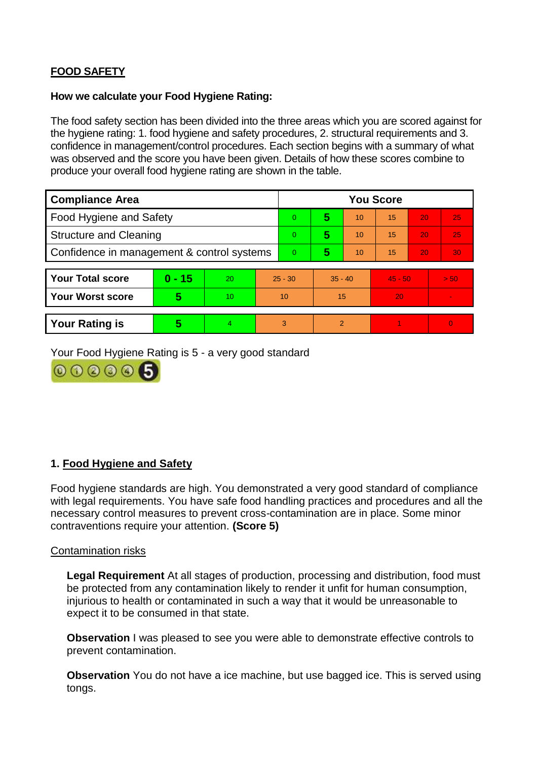# **FOOD SAFETY**

### **How we calculate your Food Hygiene Rating:**

The food safety section has been divided into the three areas which you are scored against for the hygiene rating: 1. food hygiene and safety procedures, 2. structural requirements and 3. confidence in management/control procedures. Each section begins with a summary of what was observed and the score you have been given. Details of how these scores combine to produce your overall food hygiene rating are shown in the table.

| <b>Compliance Area</b>                     |          |                  |           | <b>You Score</b> |                |    |           |    |                |  |
|--------------------------------------------|----------|------------------|-----------|------------------|----------------|----|-----------|----|----------------|--|
| Food Hygiene and Safety                    |          |                  | 0         | 5                | 10             | 15 | 20        | 25 |                |  |
| <b>Structure and Cleaning</b>              |          |                  | 0         | 5                | 10             | 15 | 20        | 25 |                |  |
| Confidence in management & control systems |          |                  | 0         | 5                | 10             | 15 | 20        | 30 |                |  |
|                                            |          |                  |           |                  |                |    |           |    |                |  |
| <b>Your Total score</b>                    | $0 - 15$ | 20               | $25 - 30$ |                  | $35 - 40$      |    | $45 - 50$ |    | > 50           |  |
| <b>Your Worst score</b>                    | 5        | 10 <sup>10</sup> | 10        |                  | 15             |    | 20        |    | $\blacksquare$ |  |
|                                            |          |                  |           |                  |                |    |           |    |                |  |
| <b>Your Rating is</b>                      | 5        | 4                | 3         |                  | $\overline{2}$ |    |           |    | $\Omega$       |  |

Your Food Hygiene Rating is 5 - a very good standard



## **1. Food Hygiene and Safety**

Food hygiene standards are high. You demonstrated a very good standard of compliance with legal requirements. You have safe food handling practices and procedures and all the necessary control measures to prevent cross-contamination are in place. Some minor contraventions require your attention. **(Score 5)**

#### Contamination risks

**Legal Requirement** At all stages of production, processing and distribution, food must be protected from any contamination likely to render it unfit for human consumption, injurious to health or contaminated in such a way that it would be unreasonable to expect it to be consumed in that state.

**Observation** I was pleased to see you were able to demonstrate effective controls to prevent contamination.

**Observation** You do not have a ice machine, but use bagged ice. This is served using tongs.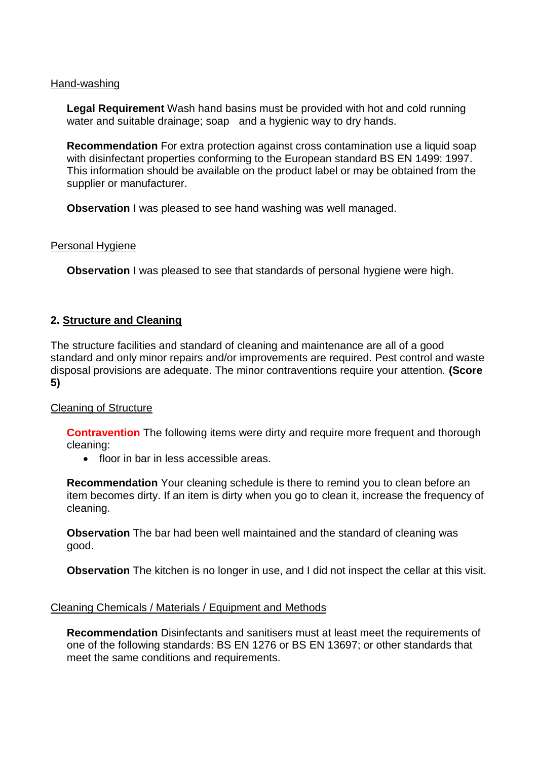#### Hand-washing

**Legal Requirement** Wash hand basins must be provided with hot and cold running water and suitable drainage; soap and a hygienic way to dry hands.

**Recommendation** For extra protection against cross contamination use a liquid soap with disinfectant properties conforming to the European standard BS EN 1499: 1997. This information should be available on the product label or may be obtained from the supplier or manufacturer.

**Observation** I was pleased to see hand washing was well managed.

#### Personal Hygiene

**Observation** I was pleased to see that standards of personal hygiene were high.

## **2. Structure and Cleaning**

The structure facilities and standard of cleaning and maintenance are all of a good standard and only minor repairs and/or improvements are required. Pest control and waste disposal provisions are adequate. The minor contraventions require your attention. **(Score 5)**

## Cleaning of Structure

**Contravention** The following items were dirty and require more frequent and thorough cleaning:

• floor in bar in less accessible areas.

**Recommendation** Your cleaning schedule is there to remind you to clean before an item becomes dirty. If an item is dirty when you go to clean it, increase the frequency of cleaning.

**Observation** The bar had been well maintained and the standard of cleaning was good.

**Observation** The kitchen is no longer in use, and I did not inspect the cellar at this visit.

#### Cleaning Chemicals / Materials / Equipment and Methods

**Recommendation** Disinfectants and sanitisers must at least meet the requirements of one of the following standards: BS EN 1276 or BS EN 13697; or other standards that meet the same conditions and requirements.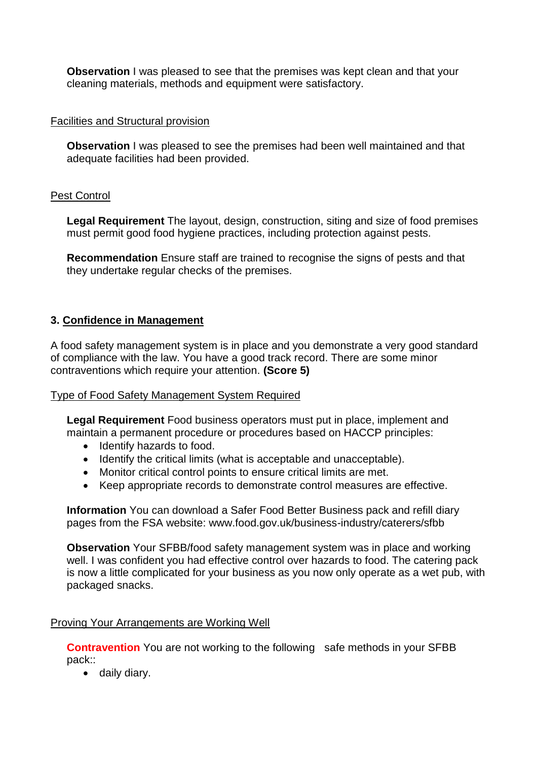**Observation** I was pleased to see that the premises was kept clean and that your cleaning materials, methods and equipment were satisfactory.

## Facilities and Structural provision

**Observation** I was pleased to see the premises had been well maintained and that adequate facilities had been provided.

## Pest Control

**Legal Requirement** The layout, design, construction, siting and size of food premises must permit good food hygiene practices, including protection against pests.

**Recommendation** Ensure staff are trained to recognise the signs of pests and that they undertake regular checks of the premises.

## **3. Confidence in Management**

A food safety management system is in place and you demonstrate a very good standard of compliance with the law. You have a good track record. There are some minor contraventions which require your attention. **(Score 5)**

## Type of Food Safety Management System Required

**Legal Requirement** Food business operators must put in place, implement and maintain a permanent procedure or procedures based on HACCP principles:

- Identify hazards to food.
- Identify the critical limits (what is acceptable and unacceptable).
- Monitor critical control points to ensure critical limits are met.
- Keep appropriate records to demonstrate control measures are effective.

**Information** You can download a Safer Food Better Business pack and refill diary pages from the FSA website: www.food.gov.uk/business-industry/caterers/sfbb

**Observation** Your SFBB/food safety management system was in place and working well. I was confident you had effective control over hazards to food. The catering pack is now a little complicated for your business as you now only operate as a wet pub, with packaged snacks.

## Proving Your Arrangements are Working Well

**Contravention** You are not working to the following safe methods in your SFBB pack::

daily diary.